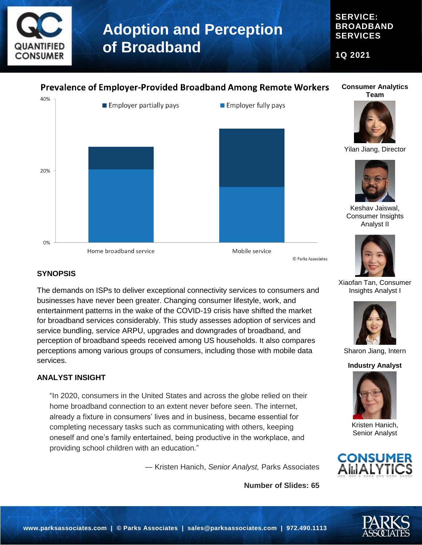

**SERVICE: BROADBAND SERVICES**

**1Q 2021**

### **Prevalence of Employer-Provided Broadband Among Remote Workers**

**Consumer Analytics Team**



Yilan Jiang, Director



Keshav Jaiswal, Consumer Insights Analyst II



Xiaofan Tan, Consumer



Sharon Jiang, Intern

**Industry Analyst**



Kristen Hanich, Senior Analyst



Insights Analyst I







### **SYNOPSIS**

The demands on ISPs to deliver exceptional connectivity services to consumers and businesses have never been greater. Changing consumer lifestyle, work, and entertainment patterns in the wake of the COVID-19 crisis have shifted the market for broadband services considerably. This study assesses adoption of services and service bundling, service ARPU, upgrades and downgrades of broadband, and perception of broadband speeds received among US households. It also compares perceptions among various groups of consumers, including those with mobile data services.

#### **ANALYST INSIGHT**

"In 2020, consumers in the United States and across the globe relied on their home broadband connection to an extent never before seen. The internet, already a fixture in consumers' lives and in business, became essential for completing necessary tasks such as communicating with others, keeping oneself and one's family entertained, being productive in the workplace, and providing school children with an education."

― Kristen Hanich, *Senior Analyst,* Parks Associates

**Number of Slides: 65**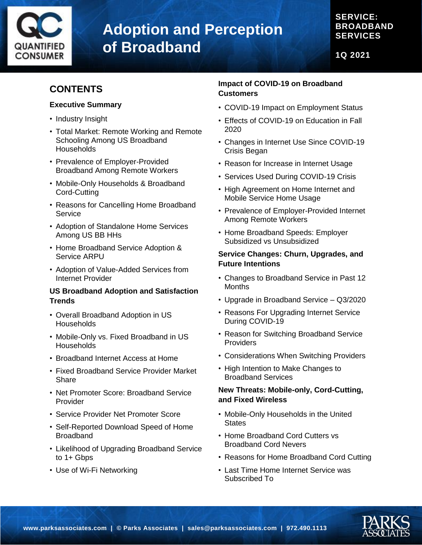

### **SERVICE: BROADBAND SERVICES**

**1Q 2021**

## **CONTENTS**

#### **Executive Summary**

- Industry Insight
- Total Market: Remote Working and Remote Schooling Among US Broadband **Households**
- Prevalence of Employer-Provided Broadband Among Remote Workers
- Mobile-Only Households & Broadband Cord-Cutting
- Reasons for Cancelling Home Broadband **Service**
- Adoption of Standalone Home Services Among US BB HHs
- Home Broadband Service Adoption & Service ARPU
- Adoption of Value-Added Services from Internet Provider

#### **US Broadband Adoption and Satisfaction Trends**

- Overall Broadband Adoption in US **Households**
- Mobile-Only vs. Fixed Broadband in US **Households**
- Broadband Internet Access at Home
- Fixed Broadband Service Provider Market **Share**
- Net Promoter Score: Broadband Service Provider
- Service Provider Net Promoter Score
- Self-Reported Download Speed of Home Broadband
- Likelihood of Upgrading Broadband Service to 1+ Gbps
- Use of Wi-Fi Networking

#### **Impact of COVID-19 on Broadband Customers**

- COVID-19 Impact on Employment Status
- Effects of COVID-19 on Education in Fall 2020
- Changes in Internet Use Since COVID-19 Crisis Began
- Reason for Increase in Internet Usage
- Services Used During COVID-19 Crisis
- High Agreement on Home Internet and Mobile Service Home Usage
- Prevalence of Employer-Provided Internet Among Remote Workers
- Home Broadband Speeds: Employer Subsidized vs Unsubsidized

#### **Service Changes: Churn, Upgrades, and Future Intentions**

- Changes to Broadband Service in Past 12 Months
- Upgrade in Broadband Service Q3/2020
- Reasons For Upgrading Internet Service During COVID-19
- Reason for Switching Broadband Service **Providers**
- Considerations When Switching Providers
- High Intention to Make Changes to Broadband Services

#### **New Threats: Mobile-only, Cord-Cutting, and Fixed Wireless**

- Mobile-Only Households in the United **States**
- Home Broadband Cord Cutters vs Broadband Cord Nevers
- Reasons for Home Broadband Cord Cutting
- Last Time Home Internet Service was Subscribed To

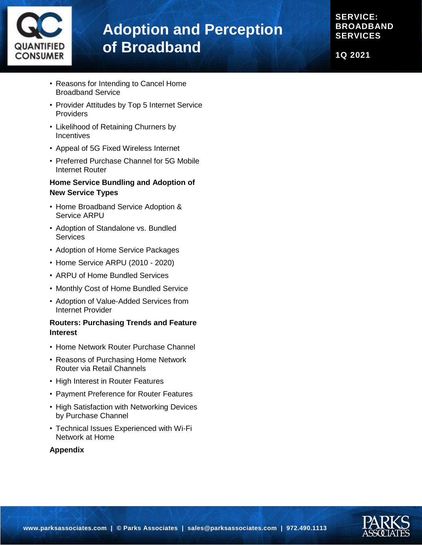

**SERVICE: BROADBAND SERVICES**

**1Q 2021**

- Reasons for Intending to Cancel Home Broadband Service
- Provider Attitudes by Top 5 Internet Service **Providers**
- Likelihood of Retaining Churners by **Incentives**
- Appeal of 5G Fixed Wireless Internet
- Preferred Purchase Channel for 5G Mobile Internet Router

#### **Home Service Bundling and Adoption of New Service Types**

- Home Broadband Service Adoption & Service ARPU
- Adoption of Standalone vs. Bundled **Services**
- Adoption of Home Service Packages
- Home Service ARPU (2010 2020)
- ARPU of Home Bundled Services
- Monthly Cost of Home Bundled Service
- Adoption of Value-Added Services from Internet Provider

#### **Routers: Purchasing Trends and Feature Interest**

- Home Network Router Purchase Channel
- Reasons of Purchasing Home Network Router via Retail Channels
- High Interest in Router Features
- Payment Preference for Router Features
- High Satisfaction with Networking Devices by Purchase Channel
- Technical Issues Experienced with Wi-Fi Network at Home

#### **Appendix**